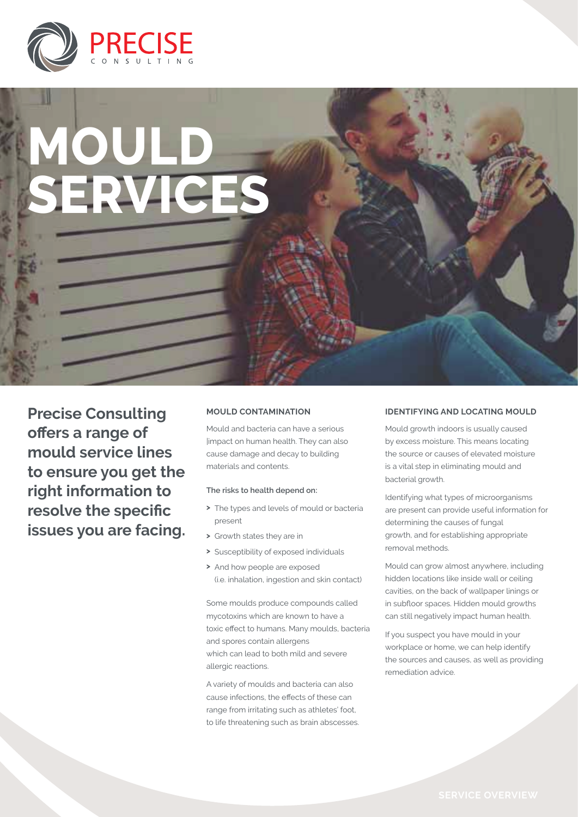

# **Mould SERVICES**

**Precise Consulting offers a range of mould service lines to ensure you get the right information to resolve the specific issues you are facing.** 

#### **Mould contamination**

Mould and bacteria can have a serious |impact on human health. They can also cause damage and decay to building materials and contents.

#### **The risks to health depend on:**

- **>** The types and levels of mould or bacteria present
- **>** Growth states they are in
- **>** Susceptibility of exposed individuals
- **>** And how people are exposed (i.e. inhalation, ingestion and skin contact)

Some moulds produce compounds called mycotoxins which are known to have a toxic effect to humans. Many moulds, bacteria and spores contain allergens which can lead to both mild and severe allergic reactions.

A variety of moulds and bacteria can also cause infections, the effects of these can range from irritating such as athletes' foot, to life threatening such as brain abscesses.

#### **Identifying and Locating Mould**

Mould growth indoors is usually caused by excess moisture. This means locating the source or causes of elevated moisture is a vital step in eliminating mould and bacterial growth.

Identifying what types of microorganisms are present can provide useful information for determining the causes of fungal growth, and for establishing appropriate removal methods.

Mould can grow almost anywhere, including hidden locations like inside wall or ceiling cavities, on the back of wallpaper linings or in subfloor spaces. Hidden mould growths can still negatively impact human health.

If you suspect you have mould in your workplace or home, we can help identify the sources and causes, as well as providing remediation advice.